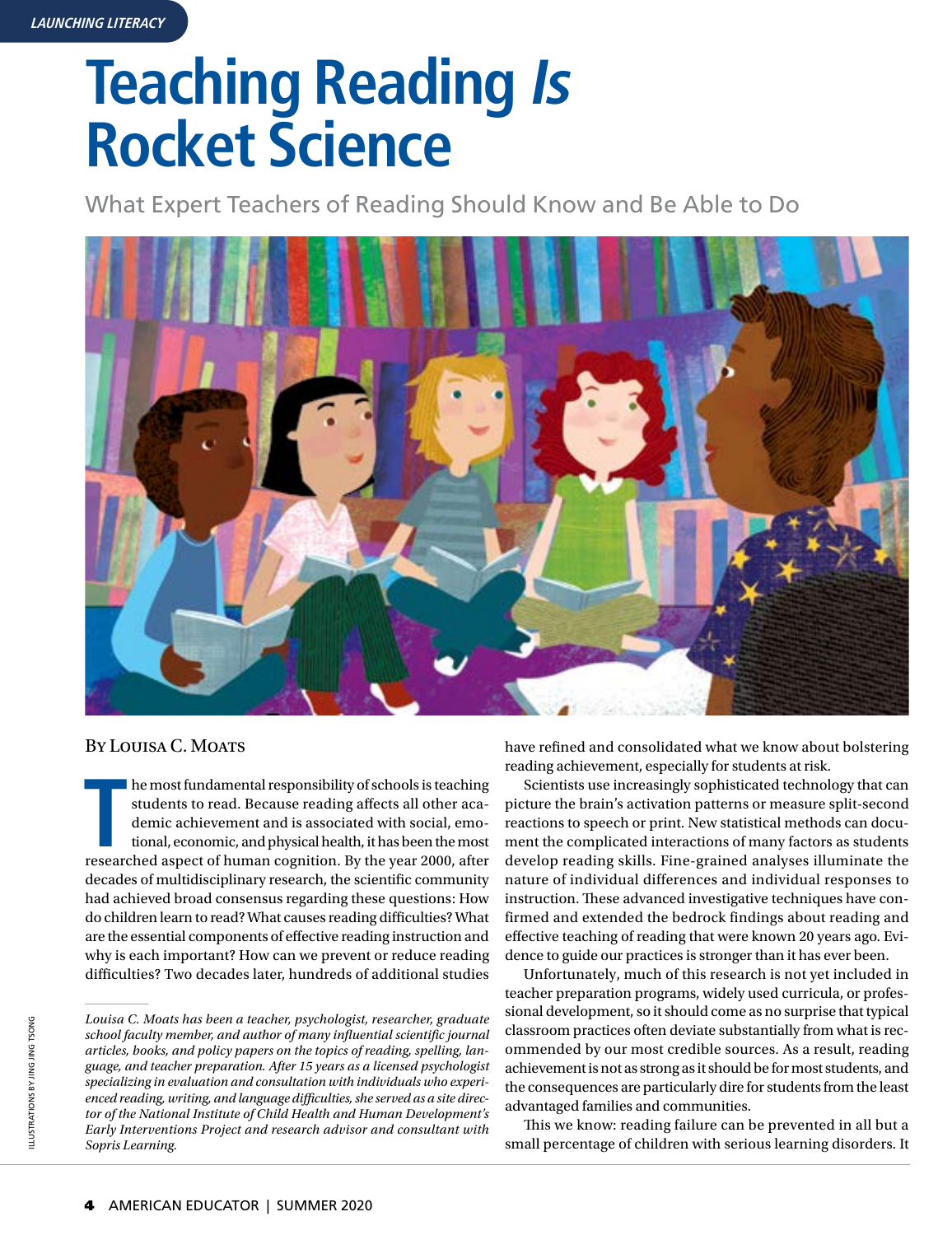# **Teaching Reading Is Rocket Science**

What Expert Teachers of Reading Should Know and Be Able to Do



### BY LOUISA C. MOATS

**THE ASSEM ASSEM ASSEM ASSEM ASSEM ASSEM ASSEM ASSEM ASSEM AND A FOREX ASPECTED ASPECTED ASPECTED ASPECTED ASPECTED ASPECTED ASPECTED ASPECTED ASPECTED ASPECTED ASPECTED ASPECTED ASPECTED ASPECTED ASPECTED ASPECTED ASPECTE** he most fundamental responsibility of schools is teaching students to read. Because reading affects all other academic achievement and is associated with social, emotional, economic, and physical health, it has been the most decades of multidisciplinary research, the scientific community had achieved broad consensus regarding these questions: How do children learn to read? What causes reading difficulties? What are the essential components of effective reading instruction and why is each important? How can we prevent or reduce reading difficulties? Two decades later, hundreds of additional studies

*Louisa C. Moats has been a teacher, psychologist, researcher, graduate school faculty member, and author of many influential scientific journal articles, books, and policy papers on the topics of reading, spelling, language, and teacher preparation. After 15 years as a licensed psychologist specializing in evaluation and consultation with individuals who experienced reading, writing, and language difficulties, she served as a site director of the National Institute of Child Health and Human Development's Early Interventions Project and research advisor and consultant with Sopris Learning.* 

have refined and consolidated what we know about bolstering reading achievement, especially for students at risk.

Scientists use increasingly sophisticated technology that can picture the brain's activation patterns or measure split-second reactions to speech or print. New statistical methods can document the complicated interactions of many factors as students develop reading skills. Fine-grained analyses illuminate the nature of individual differences and individual responses to instruction. These advanced investigative techniques have confirmed and extended the bedrock findings about reading and effective teaching of reading that were known 20 years ago. Evidence to guide our practices is stronger than it has ever been.

Unfortunately, much of this research is not yet included in teacher preparation programs, widely used curricula, or professional development, so it should come as no surprise that typical classroom practices often deviate substantially from what is recommended by our most credible sources. As a result, reading achievement is not as strong as it should be for most students, and the consequences are particularly dire for students from the least advantaged families and communities.

This we know: reading failure can be prevented in all but a small percentage of children with serious learning disorders. It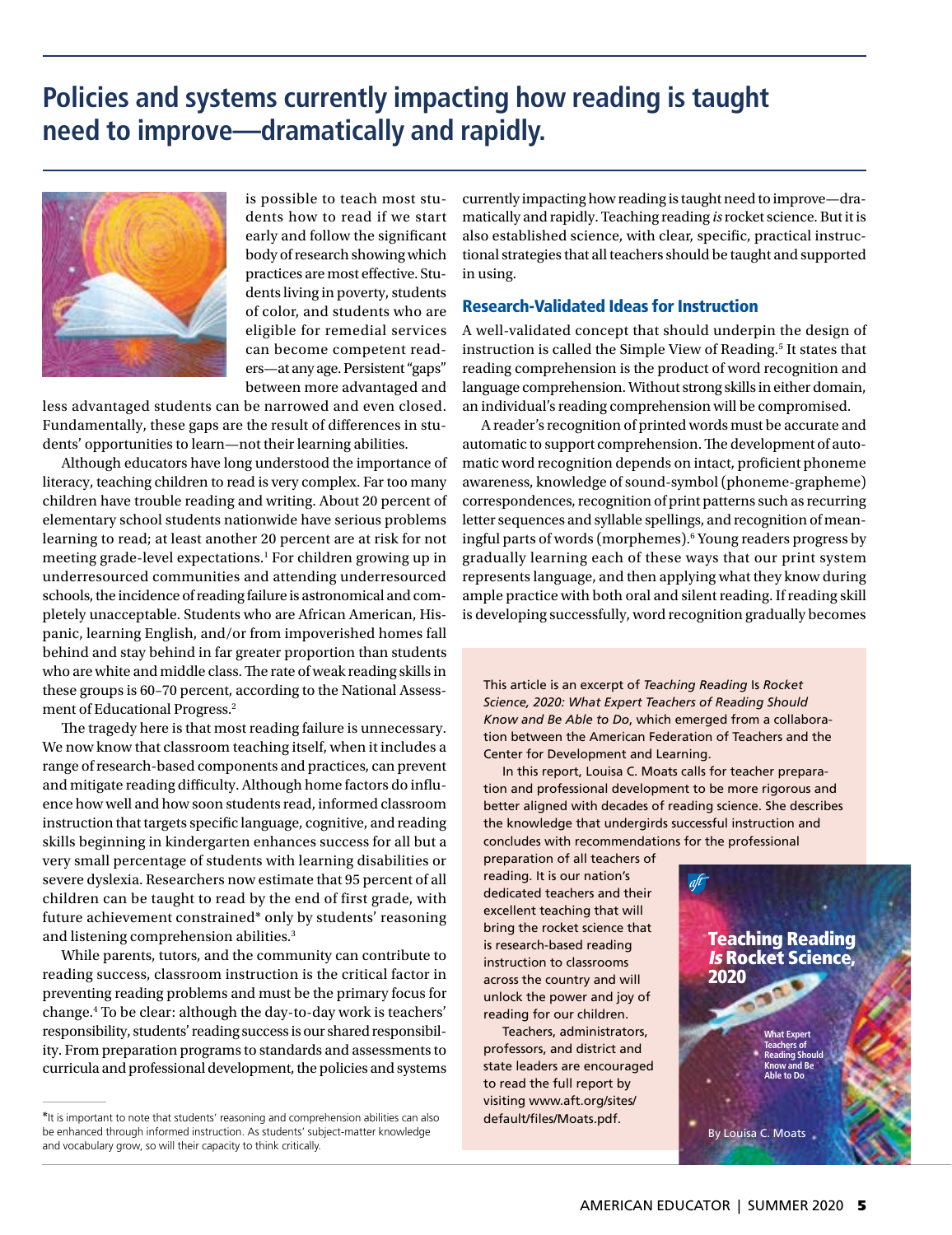# **Policies and systems currently impacting how reading is taught need to improve—dramatically and rapidly.**



is possible to teach most students how to read if we start early and follow the significant body of research showing which practices are most effective. Students living in poverty, students of color, and students who are eligible for remedial services can become competent readers—at any age. Persistent "gaps" between more advantaged and

less advantaged students can be narrowed and even closed. Fundamentally, these gaps are the result of differences in students' opportunities to learn—not their learning abilities.

Although educators have long understood the importance of literacy, teaching children to read is very complex. Far too many children have trouble reading and writing. About 20 percent of elementary school students nationwide have serious problems learning to read; at least another 20 percent are at risk for not meeting grade-level expectations.1 For children growing up in underresourced communities and attending underresourced schools, the incidence of reading failure is astronomical and completely unacceptable. Students who are African American, Hispanic, learning English, and/or from impoverished homes fall behind and stay behind in far greater proportion than students who are white and middle class. The rate of weak reading skills in these groups is 60–70 percent, according to the National Assessment of Educational Progress.2

The tragedy here is that most reading failure is unnecessary. We now know that classroom teaching itself, when it includes a range of research-based components and practices, can prevent and mitigate reading difficulty. Although home factors do influence how well and how soon students read, informed classroom instruction that targets specific language, cognitive, and reading skills beginning in kindergarten enhances success for all but a very small percentage of students with learning disabilities or severe dyslexia. Researchers now estimate that 95 percent of all children can be taught to read by the end of first grade, with future achievement constrained\* only by students' reasoning and listening comprehension abilities.3

While parents, tutors, and the community can contribute to reading success, classroom instruction is the critical factor in preventing reading problems and must be the primary focus for change.4 To be clear: although the day-to-day work is teachers' responsibility, students' reading success is our shared responsibility. From preparation programs to standards and assessments to curricula and professional development, the policies and systems

currently impacting how reading is taught need to improve—dramatically and rapidly. Teaching reading *is* rocket science. But it is also established science, with clear, specific, practical instructional strategies that all teachers should be taught and supported in using.

### Research-Validated Ideas for Instruction

A well-validated concept that should underpin the design of instruction is called the Simple View of Reading.5 It states that reading comprehension is the product of word recognition and language comprehension. Without strong skills in either domain, an individual's reading comprehension will be compromised.

A reader's recognition of printed words must be accurate and automatic to support comprehension. The development of automatic word recognition depends on intact, proficient phoneme awareness, knowledge of sound-symbol (phoneme-grapheme) correspondences, recognition of print patterns such as recurring letter sequences and syllable spellings, and recognition of meaningful parts of words (morphemes).6 Young readers progress by gradually learning each of these ways that our print system represents language, and then applying what they know during ample practice with both oral and silent reading. If reading skill is developing successfully, word recognition gradually becomes

This article is an excerpt of *Teaching Reading* Is *Rocket Science, 2020: What Expert Teachers of Reading Should Know and Be Able to Do*, which emerged from a collaboration between the American Federation of Teachers and the Center for Development and Learning.

In this report, Louisa C. Moats calls for teacher preparation and professional development to be more rigorous and better aligned with decades of reading science. She describes the knowledge that undergirds successful instruction and concludes with recommendations for the professional

preparation of all teachers of reading. It is our nation's dedicated teachers and their excellent teaching that will bring the rocket science that is research-based reading instruction to classrooms across the country and will unlock the power and joy of reading for our children.

Teachers, administrators, professors, and district and state leaders are encouraged to read the full report by visiting [www.aft.org/sites/](www.aft.org/sites/default/files/Moats.pdf) [default/files/Moats.pdf.](www.aft.org/sites/default/files/Moats.pdf)



<sup>\*</sup>It is important to note that students' reasoning and comprehension abilities can also be enhanced through informed instruction. As students' subject-matter knowledge and vocabulary grow, so will their capacity to think critically.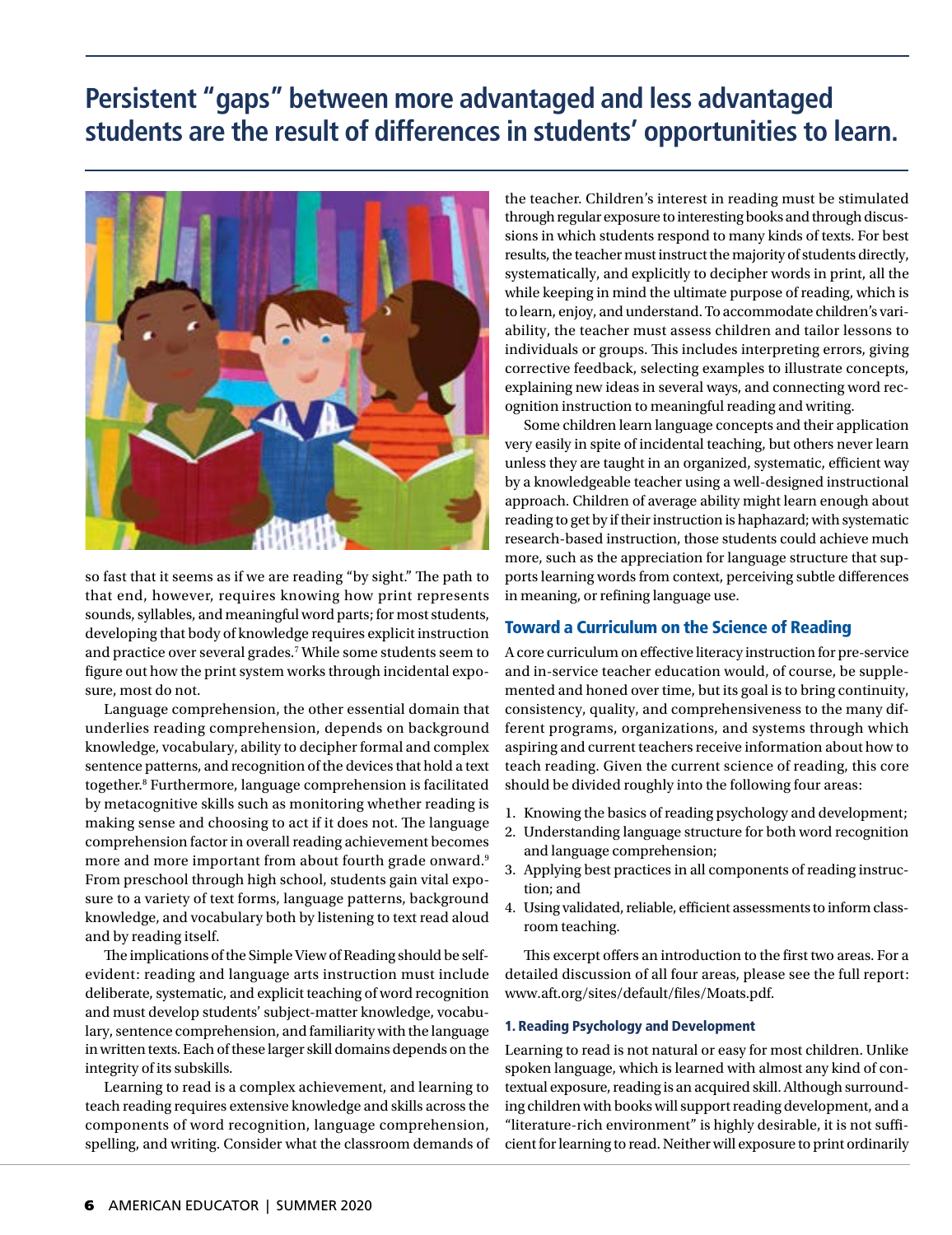# **Persistent "gaps" between more advantaged and less advantaged students are the result of differences in students' opportunities to learn.**



so fast that it seems as if we are reading "by sight." The path to that end, however, requires knowing how print represents sounds, syllables, and meaningful word parts; for most students, developing that body of knowledge requires explicit instruction and practice over several grades.<sup>7</sup> While some students seem to figure out how the print system works through incidental exposure, most do not.

Language comprehension, the other essential domain that underlies reading comprehension, depends on background knowledge, vocabulary, ability to decipher formal and complex sentence patterns, and recognition of the devices that hold a text together.8 Furthermore, language comprehension is facilitated by metacognitive skills such as monitoring whether reading is making sense and choosing to act if it does not. The language comprehension factor in overall reading achievement becomes more and more important from about fourth grade onward.<sup>9</sup> From preschool through high school, students gain vital exposure to a variety of text forms, language patterns, background knowledge, and vocabulary both by listening to text read aloud and by reading itself.

The implications of the Simple View of Reading should be selfevident: reading and language arts instruction must include deliberate, systematic, and explicit teaching of word recognition and must develop students' subject-matter knowledge, vocabulary, sentence comprehension, and familiarity with the language in written texts. Each of these larger skill domains depends on the integrity of its subskills.

Learning to read is a complex achievement, and learning to teach reading requires extensive knowledge and skills across the components of word recognition, language comprehension, spelling, and writing. Consider what the classroom demands of the teacher. Children's interest in reading must be stimulated through regular exposure to interesting books and through discussions in which students respond to many kinds of texts. For best results, the teacher must instruct the majority of students directly, systematically, and explicitly to decipher words in print, all the while keeping in mind the ultimate purpose of reading, which is to learn, enjoy, and understand. To accommodate children's variability, the teacher must assess children and tailor lessons to individuals or groups. This includes interpreting errors, giving corrective feedback, selecting examples to illustrate concepts, explaining new ideas in several ways, and connecting word recognition instruction to meaningful reading and writing.

Some children learn language concepts and their application very easily in spite of incidental teaching, but others never learn unless they are taught in an organized, systematic, efficient way by a knowledgeable teacher using a well-designed instructional approach. Children of average ability might learn enough about reading to get by if their instruction is haphazard; with systematic research-based instruction, those students could achieve much more, such as the appreciation for language structure that supports learning words from context, perceiving subtle differences in meaning, or refining language use.

### Toward a Curriculum on the Science of Reading

A core curriculum on effective literacy instruction for pre-service and in-service teacher education would, of course, be supplemented and honed over time, but its goal is to bring continuity, consistency, quality, and comprehensiveness to the many different programs, organizations, and systems through which aspiring and current teachers receive information about how to teach reading. Given the current science of reading, this core should be divided roughly into the following four areas:

- 1. Knowing the basics of reading psychology and development;
- 2. Understanding language structure for both word recognition and language comprehension;
- 3. Applying best practices in all components of reading instruction; and
- 4. Using validated, reliable, efficient assessments to inform classroom teaching.

This excerpt offers an introduction to the first two areas. For a detailed discussion of all four areas, please see the full report: www.aft.org/sites/default/files/Moats.pdf.

#### 1. Reading Psychology and Development

Learning to read is not natural or easy for most children. Unlike spoken language, which is learned with almost any kind of contextual exposure, reading is an acquired skill. Although surrounding children with books will support reading development, and a "literature-rich environment" is highly desirable, it is not sufficient for learning to read. Neither will exposure to print ordinarily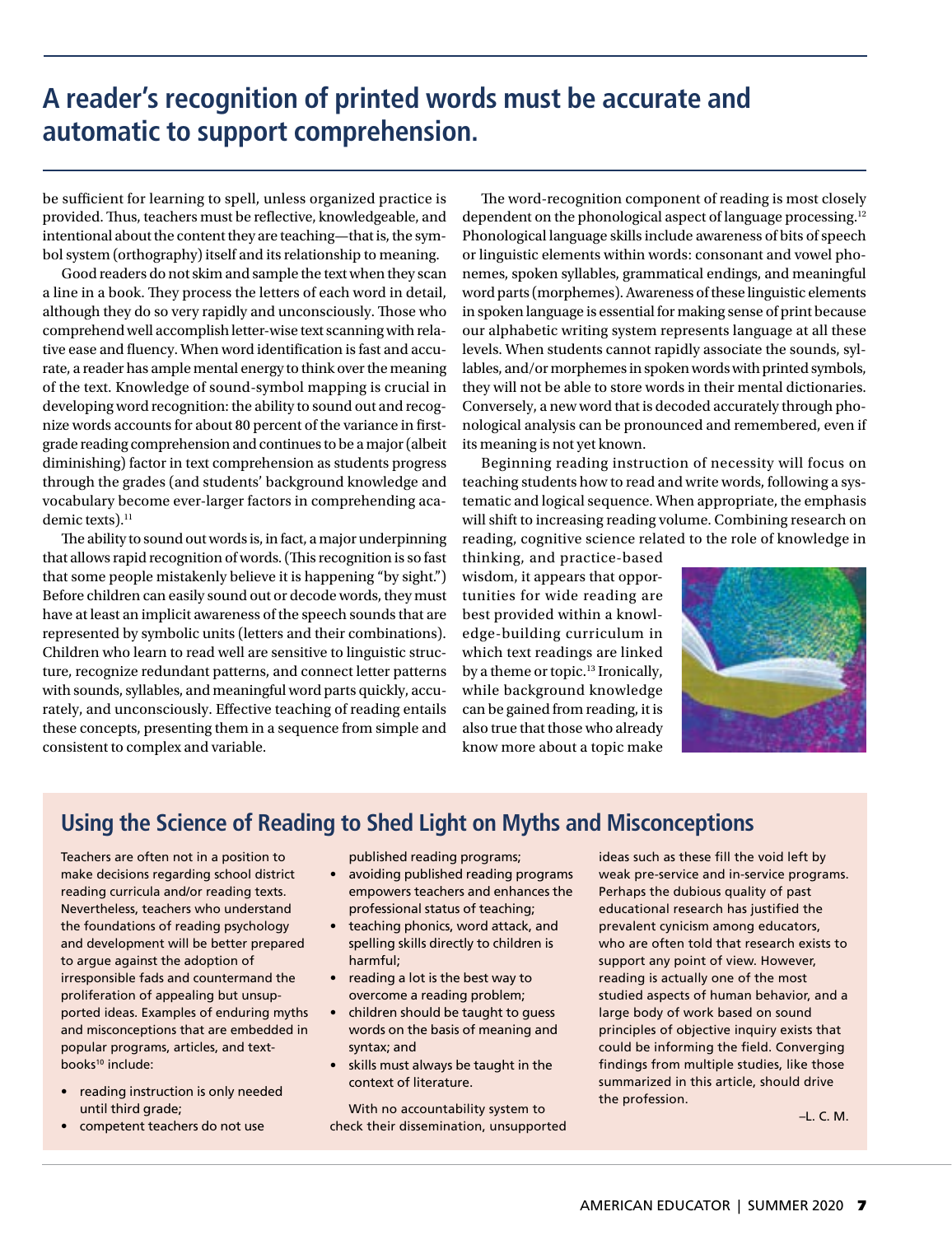# **A reader's recognition of printed words must be accurate and automatic to support comprehension.**

be sufficient for learning to spell, unless organized practice is provided. Thus, teachers must be reflective, knowledgeable, and intentional about the content they are teaching—that is, the symbol system (orthography) itself and its relationship to meaning.

Good readers do not skim and sample the text when they scan a line in a book. They process the letters of each word in detail, although they do so very rapidly and unconsciously. Those who comprehend well accomplish letter-wise text scanning with relative ease and fluency. When word identification is fast and accurate, a reader has ample mental energy to think over the meaning of the text. Knowledge of sound-symbol mapping is crucial in developing word recognition: the ability to sound out and recognize words accounts for about 80 percent of the variance in firstgrade reading comprehension and continues to be a major (albeit diminishing) factor in text comprehension as students progress through the grades (and students' background knowledge and vocabulary become ever-larger factors in comprehending academic texts).<sup>11</sup>

The ability to sound out words is, in fact, a major underpinning that allows rapid recognition of words. (This recognition is so fast that some people mistakenly believe it is happening "by sight.") Before children can easily sound out or decode words, they must have at least an implicit awareness of the speech sounds that are represented by symbolic units (letters and their combinations). Children who learn to read well are sensitive to linguistic structure, recognize redundant patterns, and connect letter patterns with sounds, syllables, and meaningful word parts quickly, accurately, and unconsciously. Effective teaching of reading entails these concepts, presenting them in a sequence from simple and consistent to complex and variable.

The word-recognition component of reading is most closely dependent on the phonological aspect of language processing.12 Phonological language skills include awareness of bits of speech or linguistic elements within words: consonant and vowel phonemes, spoken syllables, grammatical endings, and meaningful word parts (morphemes). Awareness of these linguistic elements in spoken language is essential for making sense of print because our alphabetic writing system represents language at all these levels. When students cannot rapidly associate the sounds, syllables, and/or morphemes in spoken words with printed symbols, they will not be able to store words in their mental dictionaries. Conversely, a new word that is decoded accurately through phonological analysis can be pronounced and remembered, even if its meaning is not yet known.

Beginning reading instruction of necessity will focus on teaching students how to read and write words, following a systematic and logical sequence. When appropriate, the emphasis will shift to increasing reading volume. Combining research on reading, cognitive science related to the role of knowledge in

thinking, and practice-based wisdom, it appears that opportunities for wide reading are best provided within a knowledge-building curriculum in which text readings are linked by a theme or topic.13 Ironically, while background knowledge can be gained from reading, it is also true that those who already know more about a topic make



### **Using the Science of Reading to Shed Light on Myths and Misconceptions**

Teachers are often not in a position to make decisions regarding school district reading curricula and/or reading texts. Nevertheless, teachers who understand the foundations of reading psychology and development will be better prepared to argue against the adoption of irresponsible fads and countermand the proliferation of appealing but unsupported ideas. Examples of enduring myths and misconceptions that are embedded in popular programs, articles, and textbooks<sup>10</sup> include:

- reading instruction is only needed until third grade;
- competent teachers do not use

published reading programs;

- avoiding published reading programs empowers teachers and enhances the professional status of teaching;
- teaching phonics, word attack, and spelling skills directly to children is harmful;
- reading a lot is the best way to overcome a reading problem;
- children should be taught to guess words on the basis of meaning and syntax; and
- skills must always be taught in the context of literature.

With no accountability system to check their dissemination, unsupported ideas such as these fill the void left by weak pre-service and in-service programs. Perhaps the dubious quality of past educational research has justified the prevalent cynicism among educators, who are often told that research exists to support any point of view. However, reading is actually one of the most studied aspects of human behavior, and a large body of work based on sound principles of objective inquiry exists that could be informing the field. Converging findings from multiple studies, like those summarized in this article, should drive the profession.

–L. C. M.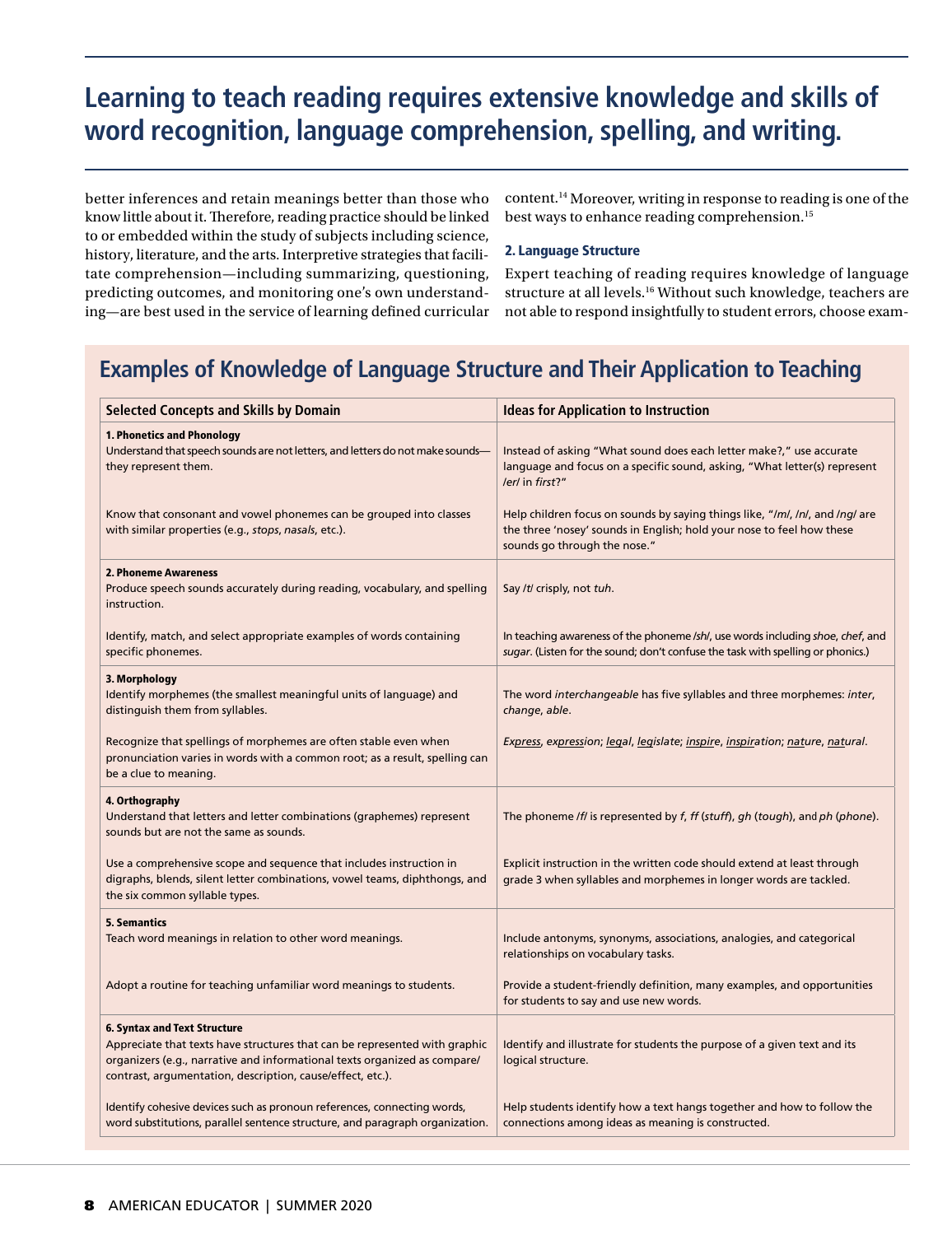# **Learning to teach reading requires extensive knowledge and skills of word recognition, language comprehension, spelling, and writing.**

better inferences and retain meanings better than those who know little about it. Therefore, reading practice should be linked to or embedded within the study of subjects including science, history, literature, and the arts. Interpretive strategies that facilitate comprehension—including summarizing, questioning, predicting outcomes, and monitoring one's own understanding—are best used in the service of learning defined curricular

content.14 Moreover, writing in response to reading is one of the best ways to enhance reading comprehension.<sup>15</sup>

#### 2. Language Structure

Expert teaching of reading requires knowledge of language structure at all levels.16 Without such knowledge, teachers are not able to respond insightfully to student errors, choose exam-

### **Examples of Knowledge of Language Structure and Their Application to Teaching**

| <b>Selected Concepts and Skills by Domain</b>                                                                                                                                                                                                                | <b>Ideas for Application to Instruction</b>                                                                                                                                           |
|--------------------------------------------------------------------------------------------------------------------------------------------------------------------------------------------------------------------------------------------------------------|---------------------------------------------------------------------------------------------------------------------------------------------------------------------------------------|
| 1. Phonetics and Phonology<br>Understand that speech sounds are not letters, and letters do not make sounds-<br>they represent them.                                                                                                                         | Instead of asking "What sound does each letter make?," use accurate<br>language and focus on a specific sound, asking, "What letter(s) represent<br>/er/ in first?"                   |
| Know that consonant and vowel phonemes can be grouped into classes<br>with similar properties (e.g., stops, nasals, etc.).                                                                                                                                   | Help children focus on sounds by saying things like, "/m/, /n/, and /ng/ are<br>the three 'nosey' sounds in English; hold your nose to feel how these<br>sounds go through the nose." |
| 2. Phoneme Awareness<br>Produce speech sounds accurately during reading, vocabulary, and spelling<br>instruction.                                                                                                                                            | Say /t/ crisply, not tuh.                                                                                                                                                             |
| Identify, match, and select appropriate examples of words containing<br>specific phonemes.                                                                                                                                                                   | In teaching awareness of the phoneme /sh/, use words including shoe, chef, and<br>sugar. (Listen for the sound; don't confuse the task with spelling or phonics.)                     |
| 3. Morphology<br>Identify morphemes (the smallest meaningful units of language) and<br>distinguish them from syllables.                                                                                                                                      | The word interchangeable has five syllables and three morphemes: inter,<br>change, able.                                                                                              |
| Recognize that spellings of morphemes are often stable even when<br>pronunciation varies in words with a common root; as a result, spelling can<br>be a clue to meaning.                                                                                     | Express, expression; legal, legislate; inspire, inspiration; nature, natural.                                                                                                         |
| 4. Orthography<br>Understand that letters and letter combinations (graphemes) represent<br>sounds but are not the same as sounds.                                                                                                                            | The phoneme /f/ is represented by f, ff (stuff), gh (tough), and ph (phone).                                                                                                          |
| Use a comprehensive scope and sequence that includes instruction in<br>digraphs, blends, silent letter combinations, vowel teams, diphthongs, and<br>the six common syllable types.                                                                          | Explicit instruction in the written code should extend at least through<br>grade 3 when syllables and morphemes in longer words are tackled.                                          |
| <b>5. Semantics</b><br>Teach word meanings in relation to other word meanings.                                                                                                                                                                               | Include antonyms, synonyms, associations, analogies, and categorical<br>relationships on vocabulary tasks.                                                                            |
| Adopt a routine for teaching unfamiliar word meanings to students.                                                                                                                                                                                           | Provide a student-friendly definition, many examples, and opportunities<br>for students to say and use new words.                                                                     |
| <b>6. Syntax and Text Structure</b><br>Appreciate that texts have structures that can be represented with graphic<br>organizers (e.g., narrative and informational texts organized as compare/<br>contrast, argumentation, description, cause/effect, etc.). | Identify and illustrate for students the purpose of a given text and its<br>logical structure.                                                                                        |
| Identify cohesive devices such as pronoun references, connecting words,<br>word substitutions, parallel sentence structure, and paragraph organization.                                                                                                      | Help students identify how a text hangs together and how to follow the<br>connections among ideas as meaning is constructed.                                                          |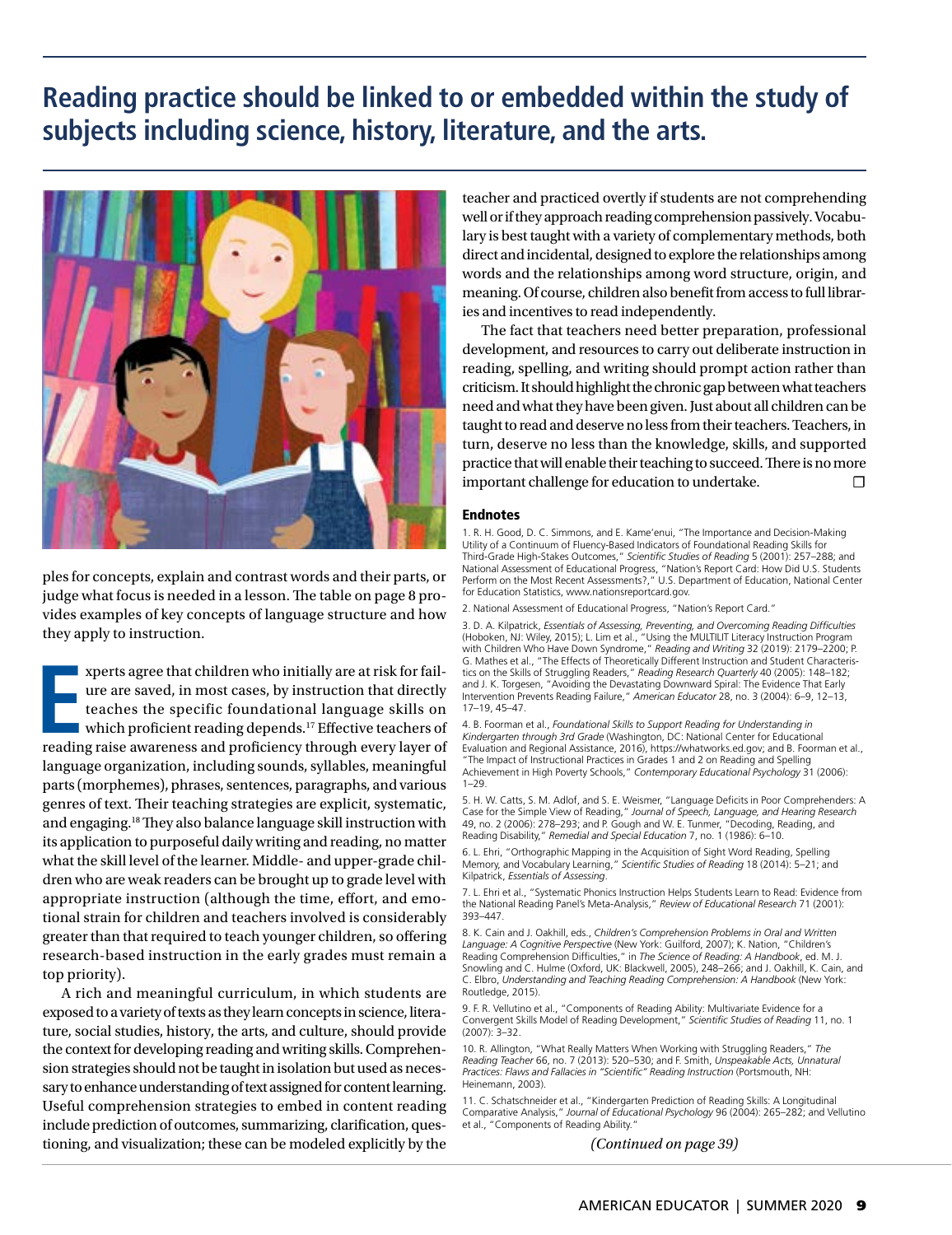# **Reading practice should be linked to or embedded within the study of subjects including science, history, literature, and the arts.**



ples for concepts, explain and contrast words and their parts, or judge what focus is needed in a lesson. The table on page 8 provides examples of key concepts of language structure and how they apply to instruction.

**EXECUTE AND IN THE READING THE THE STATE STATE STATE AND THE READING THE STATE STATE STATE STATE STATE STATE STATE STATE STATE STATE STATE STATE STATE STATE STATE STATE STATE STATE STATE STATE STATE STATE STATE STATE STAT** xperts agree that children who initially are at risk for failure are saved, in most cases, by instruction that directly teaches the specific foundational language skills on which proficient reading depends.<sup>17</sup> Effective teachers of language organization, including sounds, syllables, meaningful parts (morphemes), phrases, sentences, paragraphs, and various genres of text. Their teaching strategies are explicit, systematic, and engaging.18 They also balance language skill instruction with its application to purposeful daily writing and reading, no matter what the skill level of the learner. Middle- and upper-grade children who are weak readers can be brought up to grade level with appropriate instruction (although the time, effort, and emotional strain for children and teachers involved is considerably greater than that required to teach younger children, so offering research-based instruction in the early grades must remain a top priority).

A rich and meaningful curriculum, in which students are exposed to a variety of texts as they learn concepts in science, literature, social studies, history, the arts, and culture, should provide the context for developing reading and writing skills. Comprehension strategies should not be taught in isolation but used as necessary to enhance understanding of text assigned for content learning. Useful comprehension strategies to embed in content reading include prediction of outcomes, summarizing, clarification, questioning, and visualization; these can be modeled explicitly by the

teacher and practiced overtly if students are not comprehending well or if they approach reading comprehension passively. Vocabulary is best taught with a variety of complementary methods, both direct and incidental, designed to explore the relationships among words and the relationships among word structure, origin, and meaning. Of course, children also benefit from access to full libraries and incentives to read independently.

The fact that teachers need better preparation, professional development, and resources to carry out deliberate instruction in reading, spelling, and writing should prompt action rather than criticism. It should highlight the chronic gap between what teachers need and what they have been given. Just about all children can be taught to read and deserve no less from their teachers. Teachers, in turn, deserve no less than the knowledge, skills, and supported practice that will enable their teaching to succeed. There is no more important challenge for education to undertake. ☐

#### **Endnotes**

1. R. H. Good, D. C. Simmons, and E. Kame'enui, "The Importance and Decision-Making Utility of a Continuum of Fluency-Based Indicators of Foundational Reading Skills for Third-Grade High-Stakes Outcomes," *Scientific Studies of Reading* 5 (2001): 257–288; and National Assessment of Educational Progress, "Nation's Report Card: How Did U.S. Students Perform on the Most Recent Assessments?," U.S. Department of Education, National Center for Education Statistics, www.nationsreportcard.gov.

2. National Assessment of Educational Progress, "Nation's Report Card."

3. D. A. Kilpatrick, *Essentials of Assessing, Preventing, and Overcoming Reading Difficulties* (Hoboken, NJ: Wiley, 2015); L. Lim et al., "Using the MULTILIT Literacy Instruction Program with Children Who Have Down Syndrome," *Reading and Writing* 32 (2019): 2179–2200; P. G. Mathes et al., "The Effects of Theoretically Different Instruction and Student Characteristics on the Skills of Struggling Readers," *Reading Research Quarterly* 40 (2005): 148–182; and J. K. Torgesen, "Avoiding the Devastating Downward Spiral: The Evidence That Early Intervention Prevents Reading Failure," *American Educator* 28, no. 3 (2004): 6–9, 12–13, 17–19, 45–47.

4. B. Foorman et al., *Foundational Skills to Support Reading for Understanding in Kindergarten through 3rd Grade* (Washington, DC: National Center for Educational Evaluation and Regional Assistance, 2016), https://whatworks.ed.gov; and B. Foorman et al., "The Impact of Instructional Practices in Grades 1 and 2 on Reading and Spelling Achievement in High Poverty Schools," *Contemporary Educational Psychology* 31 (2006): 1–29.

5. H. W. Catts, S. M. Adlof, and S. E. Weismer, "Language Deficits in Poor Comprehenders: A Case for the Simple View of Reading," *Journal of Speech, Language, and Hearing Research*  49, no. 2 (2006): 278–293; and P. Gough and W. E. Tunmer, "Decoding, Reading, and Reading Disability," *Remedial and Special Education* 7, no. 1 (1986): 6–10.

6. L. Ehri, "Orthographic Mapping in the Acquisition of Sight Word Reading, Spelling Memory, and Vocabulary Learning," *Scientific Studies of Reading* 18 (2014): 5–21; and Kilpatrick, *Essentials of Assessing*.

7. L. Ehri et al., "Systematic Phonics Instruction Helps Students Learn to Read: Evidence from the National Reading Panel's Meta-Analysis," *Review of Educational Research* 71 (2001): 393–447.

8. K. Cain and J. Oakhill, eds., *Children's Comprehension Problems in Oral and Written Language: A Cognitive Perspective* (New York: Guilford, 2007); K. Nation, "Children's Reading Comprehension Difficulties," in *The Science of Reading: A Handbook*, ed. M. J. Snowling and C. Hulme (Oxford, UK: Blackwell, 2005), 248–266; and J. Oakhill, K. Cain, and C. Elbro, *Understanding and Teaching Reading Comprehension: A Handbook* (New York: Routledge, 2015).

9. F. R. Vellutino et al., "Components of Reading Ability: Multivariate Evidence for a Convergent Skills Model of Reading Development," *Scientific Studies of Reading* 11, no. 1 (2007): 3–32.

10. R. Allington, "What Really Matters When Working with Struggling Readers," *The Reading Teacher* 66, no. 7 (2013): 520–530; and F. Smith, *Unspeakable Acts, Unnatural Practices: Flaws and Fallacies in "Scientific" Reading Instruction* (Portsmouth, NH: Heinemann, 2003).

11. C. Schatschneider et al., "Kindergarten Prediction of Reading Skills: A Longitudinal Comparative Analysis," *Journal of Educational Psychology* 96 (2004): 265–282; and Vellutino et al., "Components of Reading Ability."

*(Continued on page 39)*